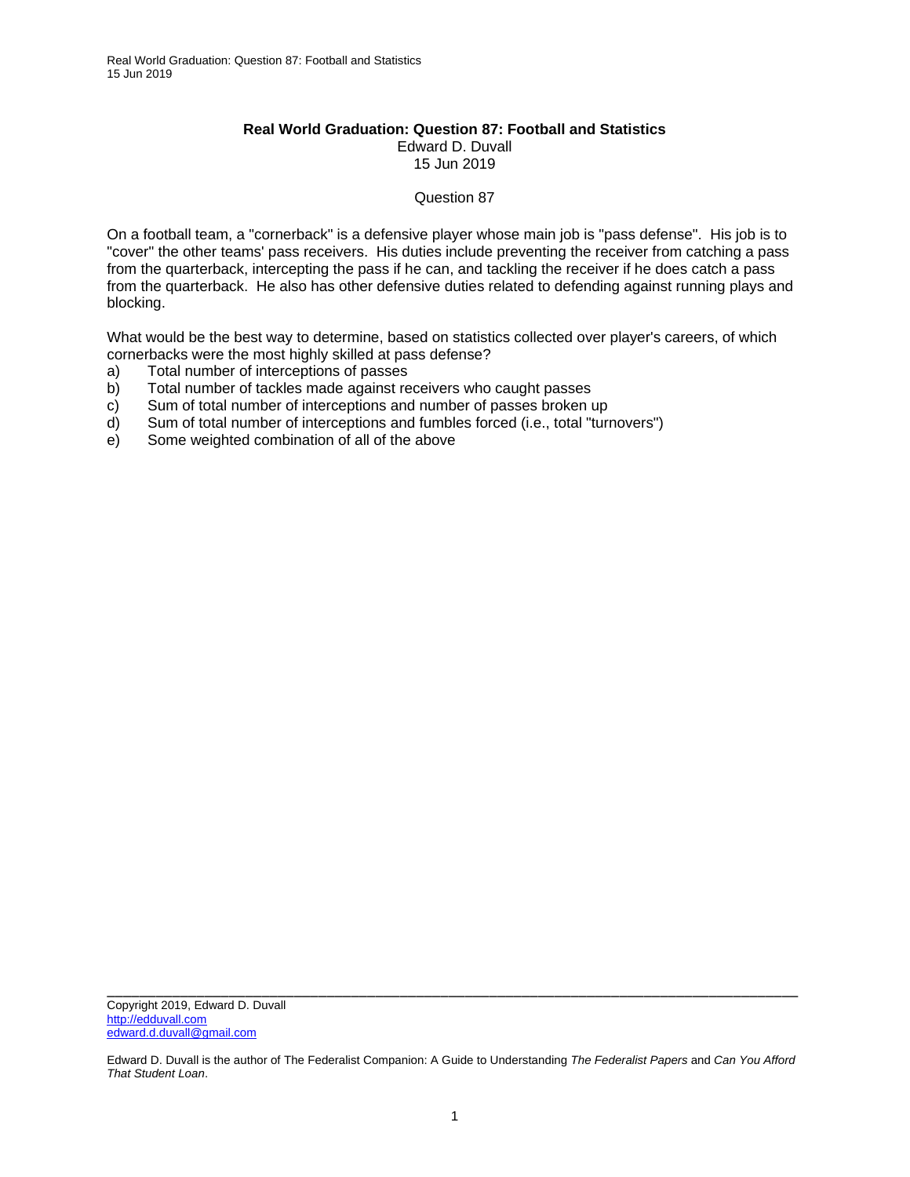## **Real World Graduation: Question 87: Football and Statistics**  Edward D. Duvall 15 Jun 2019

## Question 87

On a football team, a "cornerback" is a defensive player whose main job is "pass defense". His job is to "cover" the other teams' pass receivers. His duties include preventing the receiver from catching a pass from the quarterback, intercepting the pass if he can, and tackling the receiver if he does catch a pass from the quarterback. He also has other defensive duties related to defending against running plays and blocking.

What would be the best way to determine, based on statistics collected over player's careers, of which cornerbacks were the most highly skilled at pass defense?

- a) Total number of interceptions of passes
- b) Total number of tackles made against receivers who caught passes
- c) Sum of total number of interceptions and number of passes broken up
- d) Sum of total number of interceptions and fumbles forced (i.e., total "turnovers")
- e) Some weighted combination of all of the above

Edward D. Duvall is the author of The Federalist Companion: A Guide to Understanding *The Federalist Papers* and *Can You Afford That Student Loan*.